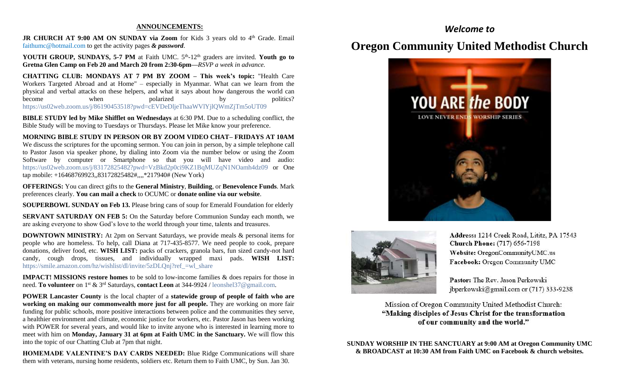#### **ANNOUNCEMENTS:**

JR CHURCH AT 9:00 AM ON SUNDAY via Zoom for Kids 3 years old to 4<sup>th</sup> Grade. Email [faithumc@hotmail.com](about:blank) to get the activity pages *& password*.

YOUTH GROUP, SUNDAYS, 5-7 PM at Faith UMC. 5<sup>th</sup>-12<sup>th</sup> graders are invited. Youth go to **Gretna Glen Camp on Feb 20 and March 20 from 2:30-6pm—***RSVP a week in advance.*

**CHATTING CLUB: MONDAYS AT 7 PM BY ZOOM – This week's topic:** "Health Care Workers Targeted Abroad and at Home" – especially in Myanmar. What can we learn from the physical and verbal attacks on these helpers, and what it says about how dangerous the world can become when polarized by politics? https://us02web.zoom.us/j/86190453518?pwd=cEVDeDljeThaaWVlYjlQWmZjTm5oUT09

**BIBLE STUDY led by Mike Shifflet on Wednesdays** at 6:30 PM. Due to a scheduling conflict, the Bible Study will be moving to Tuesdays or Thursdays. Please let Mike know your preference.

**MORNING BIBLE STUDY IN PERSON OR BY ZOOM VIDEO CHAT– FRIDAYS AT 10AM**  We discuss the scriptures for the upcoming sermon. You can join in person, by a simple telephone call to Pastor Jason via speaker phone, by dialing into Zoom via the number below or using the Zoom Software by computer or Smartphone so that you will have video and audio: [https://us02web.zoom.us/j/83172825482?pwd=VzBkd2p0ci9KZ1BqMUZqN1NOamh4dz09](about:blank) or One tap mobile: +16468769923,,83172825482#,,,,\*217940# (New York)

**OFFERINGS:** You can direct gifts to the **General Ministry**, **Building**, or **Benevolence Funds**. Mark preferences clearly. **You can mail a check** to OCUMC or **donate online via our website**.

**SOUPERBOWL SUNDAY on Feb 13.** Please bring cans of soup for Emerald Foundation for elderly

**SERVANT SATURDAY ON FEB 5:** On the Saturday before Communion Sunday each month, we are asking everyone to show God's love to the world through your time, talents and treasures.

**DOWNTOWN MINISTRY:** At 2pm on Servant Saturdays, we provide meals & personal items for people who are homeless. To help, call Diana at 717-435-8577. We need people to cook, prepare donations, deliver food, etc. **WISH LIST:** packs of crackers, granola bars, fun sized candy-not hard candy, cough drops, tissues, and individually wrapped maxi pads. **WISH LIST:** [https://smile.amazon.com/hz/wishlist/dl/invite/5zDLQnj?ref\\_=wl\\_share](about:blank)

**IMPACT! MISSIONS restore homes** to be sold to low-income families & does repairs for those in need. **To volunteer** on 1st & 3rd Saturdays, **contact Leon** at 344-9924 / [leonshel37@gmail.com.](about:blank)

**POWER Lancaster County** is the local chapter of a **statewide group of people of faith who are working on making our commonwealth more just for all people.** They are working on more fair funding for public schools, more positive interactions between police and the communities they serve, a healthier environment and climate, economic justice for workers, etc. Pastor Jason has been working with POWER for several years, and would like to invite anyone who is interested in learning more to meet with him on **Monday, January 31 at 6pm at Faith UMC in the Sanctuary.** We will flow this into the topic of our Chatting Club at 7pm that night.

**HOMEMADE VALENTINE'S DAY CARDS NEEDED:** Blue Ridge Communications will share them with veterans, nursing home residents, soldiers etc. Return them to Faith UMC, by Sun. Jan 30.

# **Oregon Community United Methodist Church**

*Welcome to*





Address: 1214 Creek Road, Lititz, PA 17543 **Church Phone:** (717) 656-7198 Website: OregonCommunityUMC.us Facebook: Oregon Community UMC

Pastor: The Rev. Jason Perkowski jbperkowski@gmail.com or (717) 333-9238

Mission of Oregon Community United Methodist Church: "Making disciples of Jesus Christ for the transformation of our community and the world."

**SUNDAY WORSHIP IN THE SANCTUARY at 9:00 AM at Oregon Community UMC & BROADCAST at 10:30 AM from Faith UMC on Facebook & church websites.**